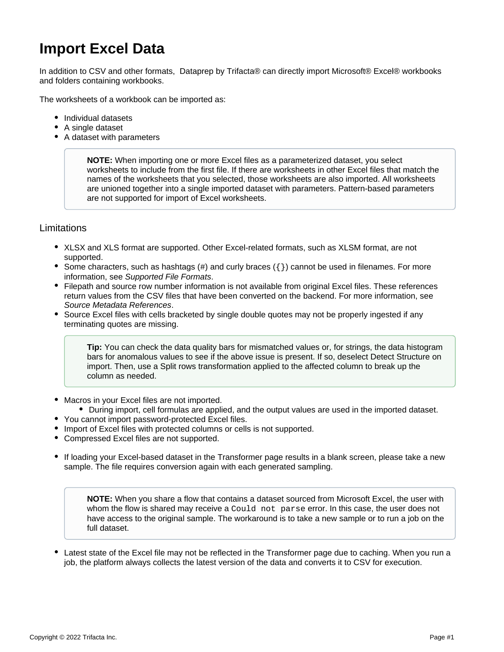# **Import Excel Data**

In addition to CSV and other formats, Dataprep by Trifacta® can directly import Microsoft® Excel® workbooks and folders containing workbooks.

The worksheets of a workbook can be imported as:

- Individual datasets
- A single dataset
- A dataset with parameters

**NOTE:** When importing one or more Excel files as a parameterized dataset, you select worksheets to include from the first file. If there are worksheets in other Excel files that match the names of the worksheets that you selected, those worksheets are also imported. All worksheets are unioned together into a single imported dataset with parameters. Pattern-based parameters are not supported for import of Excel worksheets.

# Limitations

- XLSX and XLS format are supported. Other Excel-related formats, such as XLSM format, are not supported.
- Some characters, such as hashtags  $(\#)$  and curly braces  $(\{\})$  cannot be used in filenames. For more information, see [Supported File Formats](https://docs.trifacta.com/display/DP/Supported+File+Formats).
- Filepath and source row number information is not available from original Excel files. These references return values from the CSV files that have been converted on the backend. For more information, see [Source Metadata References](https://docs.trifacta.com/display/DP/Source+Metadata+References).
- Source Excel files with cells bracketed by single double quotes may not be properly ingested if any terminating quotes are missing.

**Tip:** You can check the data quality bars for mismatched values or, for strings, the data histogram bars for anomalous values to see if the above issue is present. If so, deselect Detect Structure on import. Then, use a Split rows transformation applied to the affected column to break up the column as needed.

- Macros in your Excel files are not imported.
	- During import, cell formulas are applied, and the output values are used in the imported dataset.
- You cannot import password-protected Excel files.
- **Import of Excel files with protected columns or cells is not supported.**
- Compressed Excel files are not supported.
- If loading your Excel-based dataset in the Transformer page results in a blank screen, please take a new sample. The file requires conversion again with each generated sampling.

**NOTE:** When you share a flow that contains a dataset sourced from Microsoft Excel, the user with whom the flow is shared may receive a Could not parse error. In this case, the user does not have access to the original sample. The workaround is to take a new sample or to run a job on the full dataset.

Latest state of the Excel file may not be reflected in the Transformer page due to caching. When you run a job, the platform always collects the latest version of the data and converts it to CSV for execution.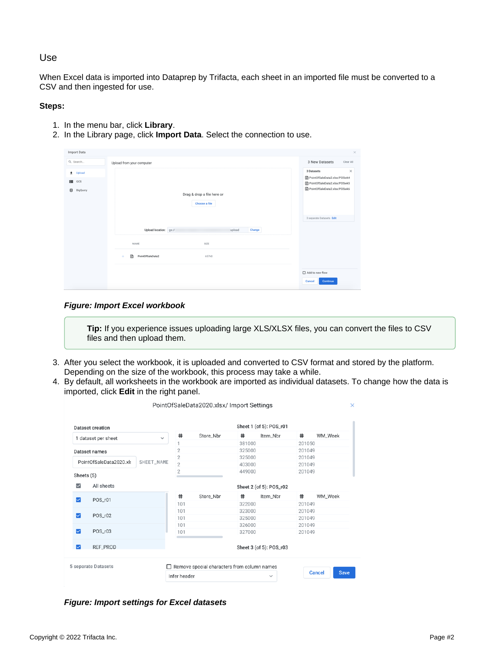# Use

When Excel data is imported into Dataprep by Trifacta, each sheet in an imported file must be converted to a CSV and then ingested for use.

#### **Steps:**

- 1. In the menu bar, click **Library**.
- 2. In the Library page, click **Import Data**. Select the connection to use.

| Import Data     |                                             | $\times$                                                     |  |  |
|-----------------|---------------------------------------------|--------------------------------------------------------------|--|--|
| Q. Search       | Upload from your computer                   | 3 New Datasets<br>Clear All                                  |  |  |
| Upload<br>$\pm$ |                                             | 3 Datasets<br>$\times$                                       |  |  |
| 噐<br>GCS        |                                             | PointOfSaleData2.xlsx/POSwk4<br>PointOfSaleData2.xlsx/POSwk5 |  |  |
| ₿<br>BigQuery   | Drag & drop a file here or<br>Choose a file | PointOfSaleData2.xlsx/POSwk6                                 |  |  |
|                 |                                             | 3 separate Datasets Edit                                     |  |  |
|                 | Upload location: gs://<br>upload<br>Change  |                                                              |  |  |
|                 | NAME<br>SIZE                                |                                                              |  |  |
|                 | ⊞<br>PointOfSaleData2<br>657kB<br>÷         |                                                              |  |  |
|                 |                                             | Add to new flow                                              |  |  |
|                 |                                             | Cancel<br>Continue                                           |  |  |

#### **Figure: Import Excel workbook**

**Tip:** If you experience issues uploading large XLS/XLSX files, you can convert the files to CSV files and then upload them.

- 3. After you select the workbook, it is uploaded and converted to CSV format and stored by the platform. Depending on the size of the workbook, this process may take a while.
- 4. By default, all worksheets in the workbook are imported as individual datasets. To change how the data is imported, click **Edit** in the right panel.

| <b>Dataset creation</b><br>1 dataset per sheet<br>$\checkmark$ |                     |  | Sheet 1 (of 5): POS_r01 |                                             |                         |              |                  |                              |  |  |
|----------------------------------------------------------------|---------------------|--|-------------------------|---------------------------------------------|-------------------------|--------------|------------------|------------------------------|--|--|
|                                                                |                     |  | #                       | Store Nbr                                   | #                       | Item_Nbr     | #                | WM_Week                      |  |  |
|                                                                |                     |  |                         |                                             | 381000                  |              | 201050           |                              |  |  |
| Dataset names<br>PointOfSaleData2020.xls<br>SHEET_NAME         |                     |  | $\overline{2}$          |                                             | 325000                  |              | 201049           |                              |  |  |
|                                                                |                     |  | $\overline{2}$          |                                             | 325000                  |              | 201049<br>201049 |                              |  |  |
|                                                                |                     |  | $\overline{2}$          |                                             | 403000                  |              |                  |                              |  |  |
| Sheets (5)                                                     |                     |  | $\overline{2}$          |                                             | 449000                  |              | 201049           |                              |  |  |
| $\overline{\smile}$                                            | All sheets          |  | Sheet 2 (of 5): POS_r02 |                                             |                         |              |                  |                              |  |  |
| $\overline{\smile}$                                            | POS_r01             |  | #                       | Store Nbr                                   | #                       | Item_Nbr     | #                | WM_Week                      |  |  |
|                                                                |                     |  | 101                     |                                             | 322000                  |              | 201049           |                              |  |  |
|                                                                |                     |  | 101                     |                                             | 323000                  |              | 201049           |                              |  |  |
| ☑                                                              | POS_r02             |  | 101                     |                                             | 325000                  |              | 201049           |                              |  |  |
|                                                                |                     |  | 101                     |                                             | 326000                  |              | 201049           |                              |  |  |
| ☑                                                              | POS_r03             |  | 101                     |                                             | 327000                  |              | 201049           |                              |  |  |
| ☑                                                              | REF_PROD            |  |                         |                                             | Sheet 3 (of 5): POS_r03 |              |                  |                              |  |  |
|                                                                | 5 separate Datasets |  |                         | Remove special characters from column names |                         |              |                  | <b>Save</b><br><b>Cancel</b> |  |  |
|                                                                |                     |  | Infer header            |                                             |                         | $\checkmark$ |                  |                              |  |  |

**Figure: Import settings for Excel datasets**